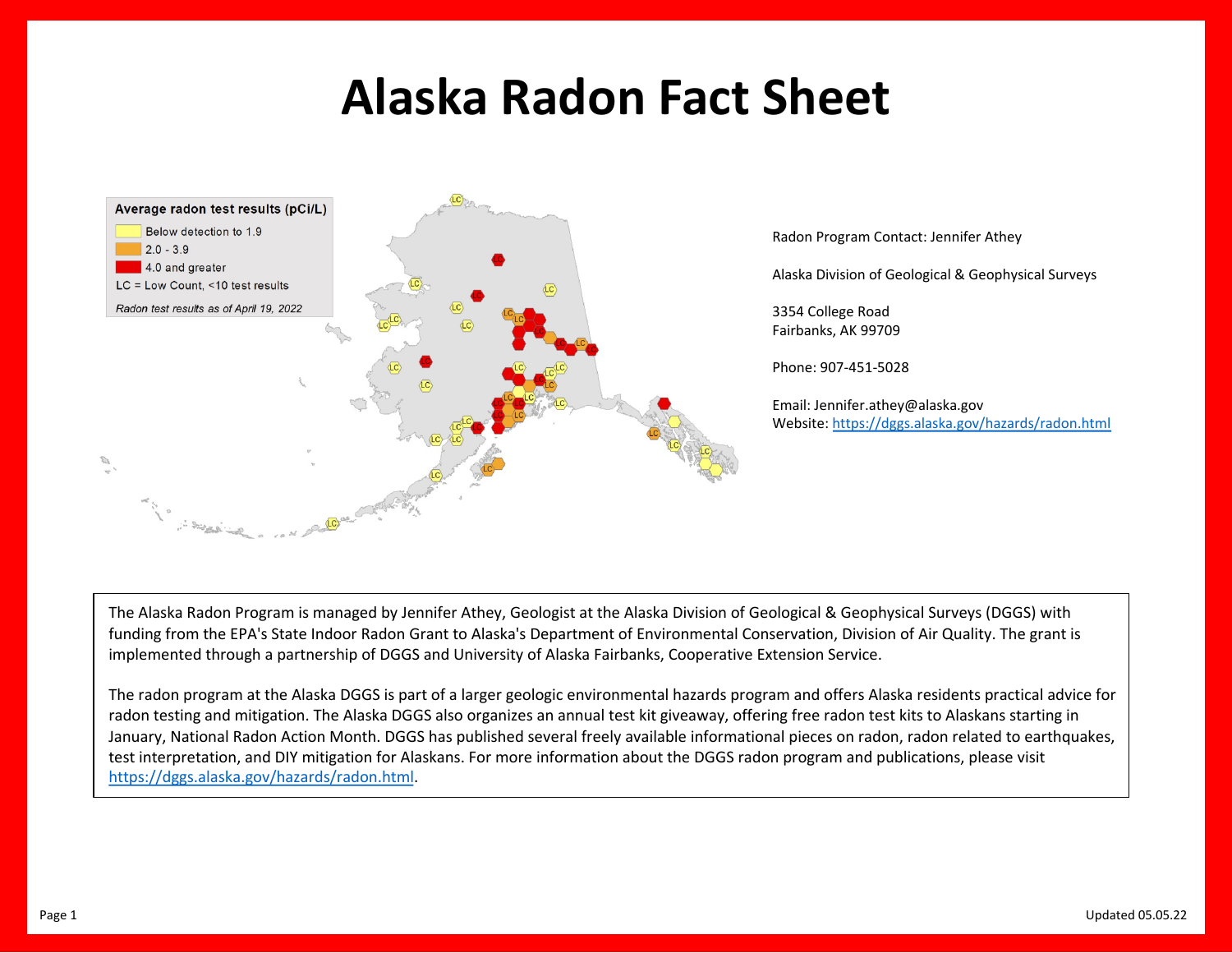## **Alaska Radon Fact Sheet**



The Alaska Radon Program is managed by Jennifer Athey, Geologist at the Alaska Division of Geological & Geophysical Sur funding from the EPA's State Indoor Radon Grant to Alaska's Department of Environmental Conservation, Division of Air C implemented through a partnership of DGGS and University of Alaska Fairbanks, Cooperative Extension Service.

The radon program at the Alaska DGGS is part of a larger geologic environmental hazards program and offers Alaska resid radon testing and mitigation. The Alaska DGGS also organizes an annual test kit giveaway, offering free radon test kits to A January, National Radon Action Month. DGGS has published several freely available informational pieces on radon, radon test interpretation, and DIY mitigation for Alaskans. For more information about the DGGS radon program and publication https://dggs.alaska.gov/hazards/radon.html.